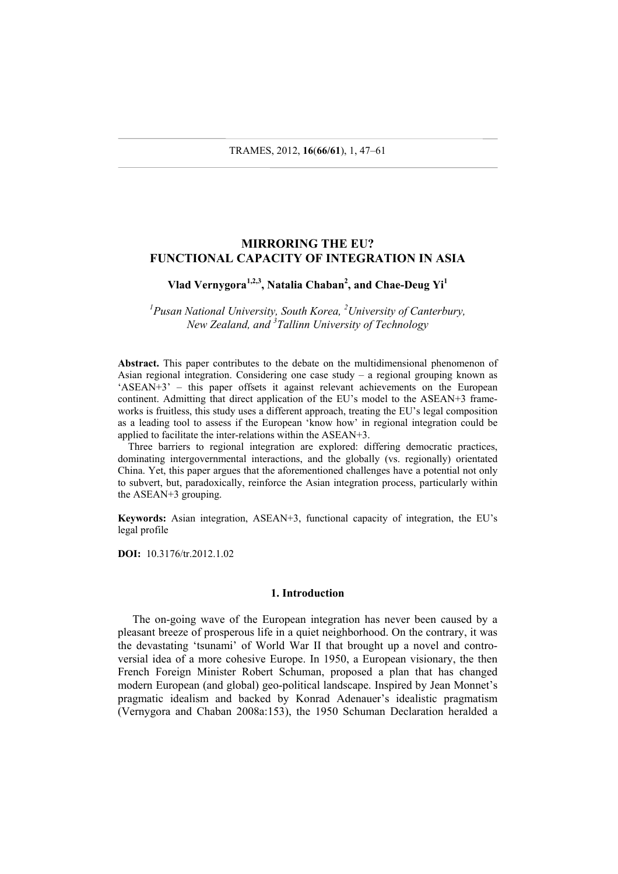# **MIRRORING THE EU? FUNCTIONAL CAPACITY OF INTEGRATION IN ASIA**

# Vlad Vernygora<sup>1,2,3</sup>, Natalia Chaban<sup>2</sup>, and Chae-Deug Yi<sup>1</sup>

<sup>1</sup> Pusan National University, South Korea, <sup>2</sup> University of Canterbury, *New Zealand, and <sup>3</sup> Tallinn University of Technology* 

**Abstract.** This paper contributes to the debate on the multidimensional phenomenon of Asian regional integration. Considering one case study – a regional grouping known as 'ASEAN+3' – this paper offsets it against relevant achievements on the European continent. Admitting that direct application of the EU's model to the ASEAN+3 frameworks is fruitless, this study uses a different approach, treating the EU's legal composition as a leading tool to assess if the European 'know how' in regional integration could be applied to facilitate the inter-relations within the ASEAN+3.

 Three barriers to regional integration are explored: differing democratic practices, dominating intergovernmental interactions, and the globally (vs. regionally) orientated China. Yet, this paper argues that the aforementioned challenges have a potential not only to subvert, but, paradoxically, reinforce the Asian integration process, particularly within the ASEAN+3 grouping.

**Keywords:** Asian integration, ASEAN+3, functional capacity of integration, the EU's legal profile

**DOI:** 10.3176/tr.2012.1.02

#### **1. Introduction**

The on-going wave of the European integration has never been caused by a pleasant breeze of prosperous life in a quiet neighborhood. On the contrary, it was the devastating 'tsunami' of World War II that brought up a novel and controversial idea of a more cohesive Europe. In 1950, a European visionary, the then French Foreign Minister Robert Schuman, proposed a plan that has changed modern European (and global) geo-political landscape. Inspired by Jean Monnet's pragmatic idealism and backed by Konrad Adenauer's idealistic pragmatism (Vernygora and Chaban 2008a:153), the 1950 Schuman Declaration heralded a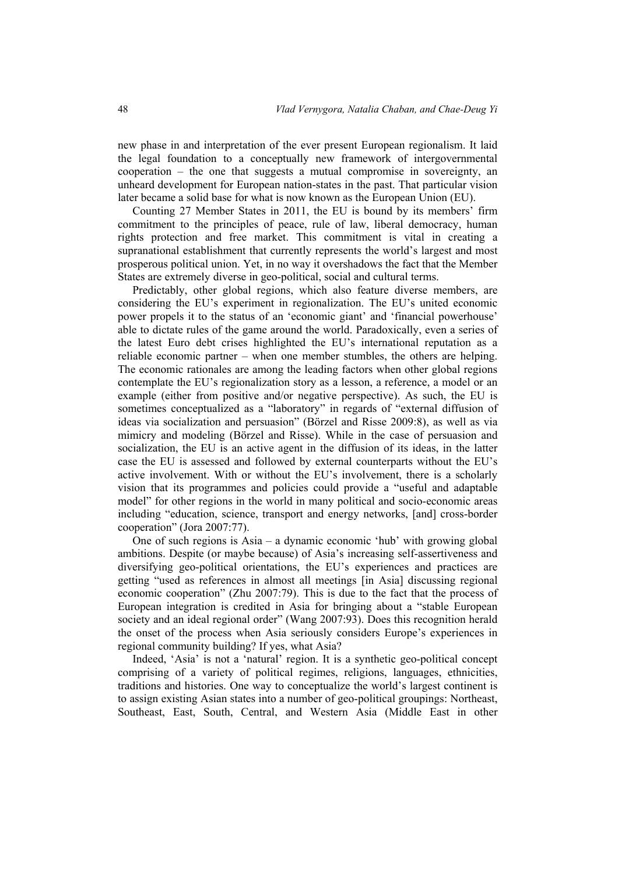new phase in and interpretation of the ever present European regionalism. It laid the legal foundation to a conceptually new framework of intergovernmental cooperation – the one that suggests a mutual compromise in sovereignty, an unheard development for European nation-states in the past. That particular vision later became a solid base for what is now known as the European Union (EU).

Counting 27 Member States in 2011, the EU is bound by its members' firm commitment to the principles of peace, rule of law, liberal democracy, human rights protection and free market. This commitment is vital in creating a supranational establishment that currently represents the world's largest and most prosperous political union. Yet, in no way it overshadows the fact that the Member States are extremely diverse in geo-political, social and cultural terms.

Predictably, other global regions, which also feature diverse members, are considering the EU's experiment in regionalization. The EU's united economic power propels it to the status of an 'economic giant' and 'financial powerhouse' able to dictate rules of the game around the world. Paradoxically, even a series of the latest Euro debt crises highlighted the EU's international reputation as a reliable economic partner – when one member stumbles, the others are helping. The economic rationales are among the leading factors when other global regions contemplate the EU's regionalization story as a lesson, a reference, a model or an example (either from positive and/or negative perspective). As such, the EU is sometimes conceptualized as a "laboratory" in regards of "external diffusion of ideas via socialization and persuasion" (Börzel and Risse 2009:8), as well as via mimicry and modeling (Börzel and Risse). While in the case of persuasion and socialization, the EU is an active agent in the diffusion of its ideas, in the latter case the EU is assessed and followed by external counterparts without the EU's active involvement. With or without the EU's involvement, there is a scholarly vision that its programmes and policies could provide a "useful and adaptable model" for other regions in the world in many political and socio-economic areas including "education, science, transport and energy networks, [and] cross-border cooperation" (Jora 2007:77).

One of such regions is Asia – a dynamic economic 'hub' with growing global ambitions. Despite (or maybe because) of Asia's increasing self-assertiveness and diversifying geo-political orientations, the EU's experiences and practices are getting "used as references in almost all meetings [in Asia] discussing regional economic cooperation" (Zhu 2007:79). This is due to the fact that the process of European integration is credited in Asia for bringing about a "stable European society and an ideal regional order" (Wang 2007:93). Does this recognition herald the onset of the process when Asia seriously considers Europe's experiences in regional community building? If yes, what Asia?

Indeed, 'Asia' is not a 'natural' region. It is a synthetic geo-political concept comprising of a variety of political regimes, religions, languages, ethnicities, traditions and histories. One way to conceptualize the world's largest continent is to assign existing Asian states into a number of geo-political groupings: Northeast, Southeast, East, South, Central, and Western Asia (Middle East in other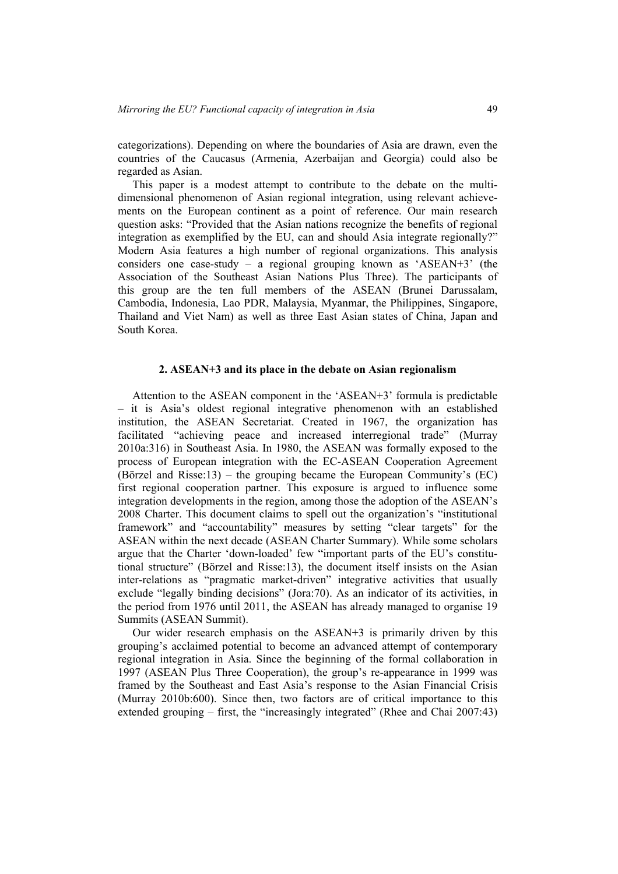categorizations). Depending on where the boundaries of Asia are drawn, even the countries of the Caucasus (Armenia, Azerbaijan and Georgia) could also be regarded as Asian.

This paper is a modest attempt to contribute to the debate on the multidimensional phenomenon of Asian regional integration, using relevant achievements on the European continent as a point of reference. Our main research question asks: "Provided that the Asian nations recognize the benefits of regional integration as exemplified by the EU, can and should Asia integrate regionally?" Modern Asia features a high number of regional organizations. This analysis considers one case-study – a regional grouping known as 'ASEAN+3' (the Association of the Southeast Asian Nations Plus Three). The participants of this group are the ten full members of the ASEAN (Brunei Darussalam, Cambodia, Indonesia, Lao PDR, Malaysia, Myanmar, the Philippines, Singapore, Thailand and Viet Nam) as well as three East Asian states of China, Japan and South Korea.

## **2. ASEAN+3 and its place in the debate on Asian regionalism**

Attention to the ASEAN component in the 'ASEAN+3' formula is predictable – it is Asia's oldest regional integrative phenomenon with an established institution, the ASEAN Secretariat. Created in 1967, the organization has facilitated "achieving peace and increased interregional trade" (Murray 2010a:316) in Southeast Asia. In 1980, the ASEAN was formally exposed to the process of European integration with the EC-ASEAN Cooperation Agreement (Börzel and Risse:13) – the grouping became the European Community's (EC) first regional cooperation partner. This exposure is argued to influence some integration developments in the region, among those the adoption of the ASEAN's 2008 Charter. This document claims to spell out the organization's "institutional framework" and "accountability" measures by setting "clear targets" for the ASEAN within the next decade (ASEAN Charter Summary). While some scholars argue that the Charter 'down-loaded' few "important parts of the EU's constitutional structure" (Börzel and Risse:13), the document itself insists on the Asian inter-relations as "pragmatic market-driven" integrative activities that usually exclude "legally binding decisions" (Jora:70). As an indicator of its activities, in the period from 1976 until 2011, the ASEAN has already managed to organise 19 Summits (ASEAN Summit).

Our wider research emphasis on the ASEAN+3 is primarily driven by this grouping's acclaimed potential to become an advanced attempt of contemporary regional integration in Asia. Since the beginning of the formal collaboration in 1997 (ASEAN Plus Three Cooperation), the group's re-appearance in 1999 was framed by the Southeast and East Asia's response to the Asian Financial Crisis (Murray 2010b:600). Since then, two factors are of critical importance to this extended grouping – first, the "increasingly integrated" (Rhee and Chai 2007:43)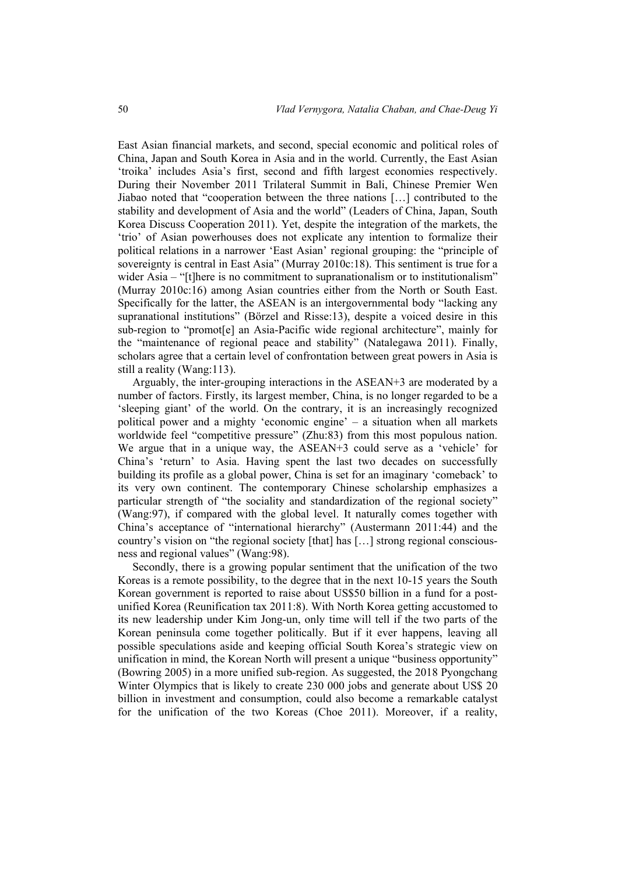East Asian financial markets, and second, special economic and political roles of China, Japan and South Korea in Asia and in the world. Currently, the East Asian 'troika' includes Asia's first, second and fifth largest economies respectively. During their November 2011 Trilateral Summit in Bali, Chinese Premier Wen Jiabao noted that "cooperation between the three nations […] contributed to the stability and development of Asia and the world" (Leaders of China, Japan, South Korea Discuss Cooperation 2011). Yet, despite the integration of the markets, the 'trio' of Asian powerhouses does not explicate any intention to formalize their political relations in a narrower 'East Asian' regional grouping: the "principle of sovereignty is central in East Asia" (Murray 2010c:18). This sentiment is true for a wider Asia – "[t]here is no commitment to supranationalism or to institutionalism" (Murray 2010c:16) among Asian countries either from the North or South East. Specifically for the latter, the ASEAN is an intergovernmental body "lacking any supranational institutions" (Börzel and Risse:13), despite a voiced desire in this sub-region to "promot[e] an Asia-Pacific wide regional architecture", mainly for the "maintenance of regional peace and stability" (Natalegawa 2011). Finally, scholars agree that a certain level of confrontation between great powers in Asia is still a reality (Wang:113).

Arguably, the inter-grouping interactions in the ASEAN+3 are moderated by a number of factors. Firstly, its largest member, China, is no longer regarded to be a 'sleeping giant' of the world. On the contrary, it is an increasingly recognized political power and a mighty 'economic engine' – a situation when all markets worldwide feel "competitive pressure" (Zhu:83) from this most populous nation. We argue that in a unique way, the ASEAN+3 could serve as a 'vehicle' for China's 'return' to Asia. Having spent the last two decades on successfully building its profile as a global power, China is set for an imaginary 'comeback' to its very own continent. The contemporary Chinese scholarship emphasizes a particular strength of "the sociality and standardization of the regional society" (Wang:97), if compared with the global level. It naturally comes together with China's acceptance of "international hierarchy" (Austermann 2011:44) and the country's vision on "the regional society [that] has […] strong regional consciousness and regional values" (Wang:98).

Secondly, there is a growing popular sentiment that the unification of the two Koreas is a remote possibility, to the degree that in the next 10-15 years the South Korean government is reported to raise about US\$50 billion in a fund for a postunified Korea (Reunification tax 2011:8). With North Korea getting accustomed to its new leadership under Kim Jong-un, only time will tell if the two parts of the Korean peninsula come together politically. But if it ever happens, leaving all possible speculations aside and keeping official South Korea's strategic view on unification in mind, the Korean North will present a unique "business opportunity" (Bowring 2005) in a more unified sub-region. As suggested, the 2018 Pyongchang Winter Olympics that is likely to create 230 000 jobs and generate about US\$ 20 billion in investment and consumption, could also become a remarkable catalyst for the unification of the two Koreas (Choe 2011). Moreover, if a reality,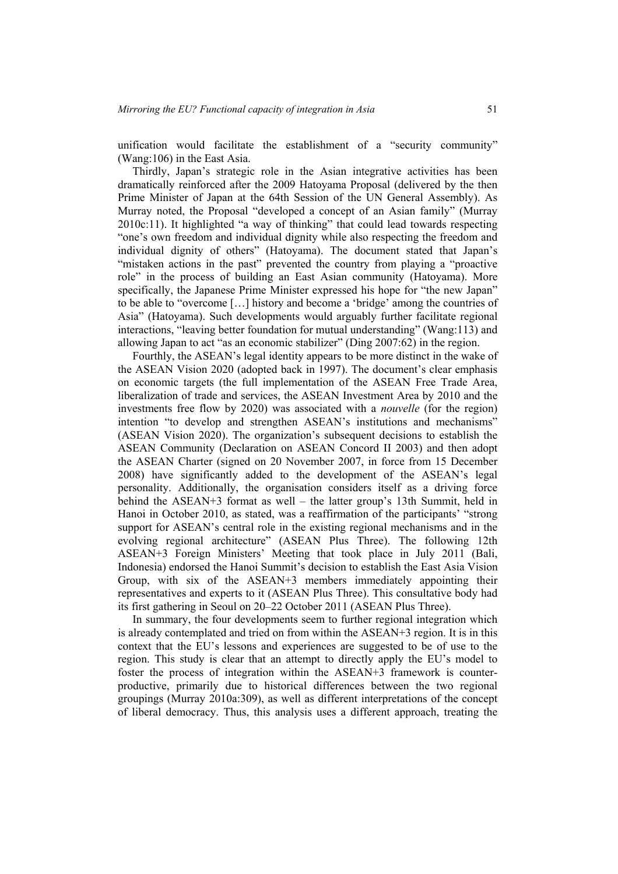unification would facilitate the establishment of a "security community" (Wang:106) in the East Asia.

Thirdly, Japan's strategic role in the Asian integrative activities has been dramatically reinforced after the 2009 Hatoyama Proposal (delivered by the then Prime Minister of Japan at the 64th Session of the UN General Assembly). As Murray noted, the Proposal "developed a concept of an Asian family" (Murray 2010c:11). It highlighted "a way of thinking" that could lead towards respecting "one's own freedom and individual dignity while also respecting the freedom and individual dignity of others" (Hatoyama). The document stated that Japan's "mistaken actions in the past" prevented the country from playing a "proactive role" in the process of building an East Asian community (Hatoyama). More specifically, the Japanese Prime Minister expressed his hope for "the new Japan" to be able to "overcome […] history and become a 'bridge' among the countries of Asia" (Hatoyama). Such developments would arguably further facilitate regional interactions, "leaving better foundation for mutual understanding" (Wang:113) and allowing Japan to act "as an economic stabilizer" (Ding 2007:62) in the region.

Fourthly, the ASEAN's legal identity appears to be more distinct in the wake of the ASEAN Vision 2020 (adopted back in 1997). The document's clear emphasis on economic targets (the full implementation of the ASEAN Free Trade Area, liberalization of trade and services, the ASEAN Investment Area by 2010 and the investments free flow by 2020) was associated with a *nouvelle* (for the region) intention "to develop and strengthen ASEAN's institutions and mechanisms" (ASEAN Vision 2020). The organization's subsequent decisions to establish the ASEAN Community (Declaration on ASEAN Concord II 2003) and then adopt the ASEAN Charter (signed on 20 November 2007, in force from 15 December 2008) have significantly added to the development of the ASEAN's legal personality. Additionally, the organisation considers itself as a driving force behind the ASEAN+3 format as well – the latter group's 13th Summit, held in Hanoi in October 2010, as stated, was a reaffirmation of the participants' "strong support for ASEAN's central role in the existing regional mechanisms and in the evolving regional architecture" (ASEAN Plus Three). The following 12th ASEAN+3 Foreign Ministers' Meeting that took place in July 2011 (Bali, Indonesia) endorsed the Hanoi Summit's decision to establish the East Asia Vision Group, with six of the ASEAN+3 members immediately appointing their representatives and experts to it (ASEAN Plus Three). This consultative body had its first gathering in Seoul on 20–22 October 2011 (ASEAN Plus Three).

In summary, the four developments seem to further regional integration which is already contemplated and tried on from within the ASEAN+3 region. It is in this context that the EU's lessons and experiences are suggested to be of use to the region. This study is clear that an attempt to directly apply the EU's model to foster the process of integration within the ASEAN+3 framework is counterproductive, primarily due to historical differences between the two regional groupings (Murray 2010a:309), as well as different interpretations of the concept of liberal democracy. Thus, this analysis uses a different approach, treating the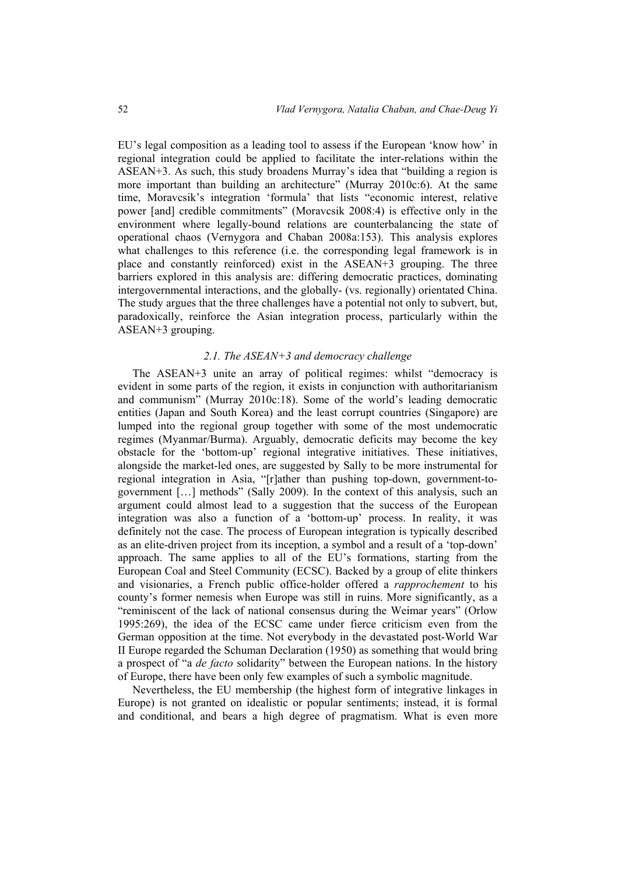EU's legal composition as a leading tool to assess if the European 'know how' in regional integration could be applied to facilitate the inter-relations within the ASEAN+3. As such, this study broadens Murray's idea that "building a region is more important than building an architecture" (Murray 2010c:6). At the same time, Moravcsik's integration 'formula' that lists "economic interest, relative power [and] credible commitments" (Moravcsik 2008:4) is effective only in the environment where legally-bound relations are counterbalancing the state of operational chaos (Vernygora and Chaban 2008a:153). This analysis explores what challenges to this reference (i.e. the corresponding legal framework is in place and constantly reinforced) exist in the ASEAN+3 grouping. The three barriers explored in this analysis are: differing democratic practices, dominating intergovernmental interactions, and the globally- (vs. regionally) orientated China. The study argues that the three challenges have a potential not only to subvert, but, paradoxically, reinforce the Asian integration process, particularly within the ASEAN+3 grouping.

## *2.1. The ASEAN+3 and democracy challenge*

The ASEAN+3 unite an array of political regimes: whilst "democracy is evident in some parts of the region, it exists in conjunction with authoritarianism and communism" (Murray 2010c:18). Some of the world's leading democratic entities (Japan and South Korea) and the least corrupt countries (Singapore) are lumped into the regional group together with some of the most undemocratic regimes (Myanmar/Burma). Arguably, democratic deficits may become the key obstacle for the 'bottom-up' regional integrative initiatives. These initiatives, alongside the market-led ones, are suggested by Sally to be more instrumental for regional integration in Asia, "[r]ather than pushing top-down, government-togovernment […] methods" (Sally 2009). In the context of this analysis, such an argument could almost lead to a suggestion that the success of the European integration was also a function of a 'bottom-up' process. In reality, it was definitely not the case. The process of European integration is typically described as an elite-driven project from its inception, a symbol and a result of a 'top-down' approach. The same applies to all of the EU's formations, starting from the European Coal and Steel Community (ECSC). Backed by a group of elite thinkers and visionaries, a French public office-holder offered a *rapprochement* to his county's former nemesis when Europe was still in ruins. More significantly, as a "reminiscent of the lack of national consensus during the Weimar years" (Orlow 1995:269), the idea of the ECSC came under fierce criticism even from the German opposition at the time. Not everybody in the devastated post-World War II Europe regarded the Schuman Declaration (1950) as something that would bring a prospect of "a *de facto* solidarity" between the European nations. In the history of Europe, there have been only few examples of such a symbolic magnitude.

Nevertheless, the EU membership (the highest form of integrative linkages in Europe) is not granted on idealistic or popular sentiments; instead, it is formal and conditional, and bears a high degree of pragmatism. What is even more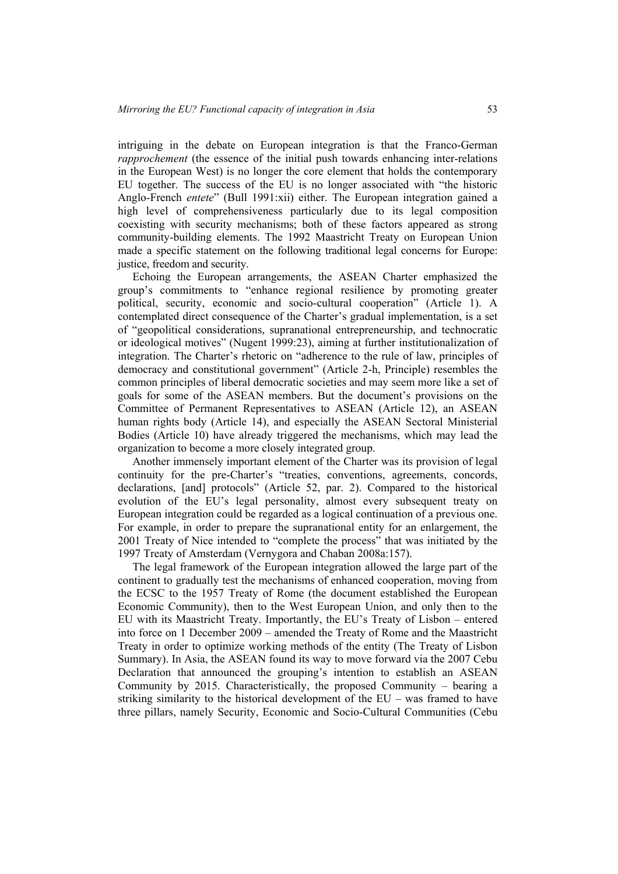intriguing in the debate on European integration is that the Franco-German *rapprochement* (the essence of the initial push towards enhancing inter-relations in the European West) is no longer the core element that holds the contemporary EU together. The success of the EU is no longer associated with "the historic Anglo-French *entete*" (Bull 1991:xii) either. The European integration gained a high level of comprehensiveness particularly due to its legal composition coexisting with security mechanisms; both of these factors appeared as strong community-building elements. The 1992 Maastricht Treaty on European Union made a specific statement on the following traditional legal concerns for Europe: justice, freedom and security.

Echoing the European arrangements, the ASEAN Charter emphasized the group's commitments to "enhance regional resilience by promoting greater political, security, economic and socio-cultural cooperation" (Article 1). A contemplated direct consequence of the Charter's gradual implementation, is a set of "geopolitical considerations, supranational entrepreneurship, and technocratic or ideological motives" (Nugent 1999:23), aiming at further institutionalization of integration. The Charter's rhetoric on "adherence to the rule of law, principles of democracy and constitutional government" (Article 2-h, Principle) resembles the common principles of liberal democratic societies and may seem more like a set of goals for some of the ASEAN members. But the document's provisions on the Committee of Permanent Representatives to ASEAN (Article 12), an ASEAN human rights body (Article 14), and especially the ASEAN Sectoral Ministerial Bodies (Article 10) have already triggered the mechanisms, which may lead the organization to become a more closely integrated group.

Another immensely important element of the Charter was its provision of legal continuity for the pre-Charter's "treaties, conventions, agreements, concords, declarations, [and] protocols" (Article 52, par. 2). Compared to the historical evolution of the EU's legal personality, almost every subsequent treaty on European integration could be regarded as a logical continuation of a previous one. For example, in order to prepare the supranational entity for an enlargement, the 2001 Treaty of Nice intended to "complete the process" that was initiated by the 1997 Treaty of Amsterdam (Vernygora and Chaban 2008a:157).

The legal framework of the European integration allowed the large part of the continent to gradually test the mechanisms of enhanced cooperation, moving from the ECSC to the 1957 Treaty of Rome (the document established the European Economic Community), then to the West European Union, and only then to the EU with its Maastricht Treaty. Importantly, the EU's Treaty of Lisbon – entered into force on 1 December 2009 – amended the Treaty of Rome and the Maastricht Treaty in order to optimize working methods of the entity (The Treaty of Lisbon Summary). In Asia, the ASEAN found its way to move forward via the 2007 Cebu Declaration that announced the grouping's intention to establish an ASEAN Community by 2015. Characteristically, the proposed Community – bearing a striking similarity to the historical development of the EU – was framed to have three pillars, namely Security, Economic and Socio-Cultural Communities (Cebu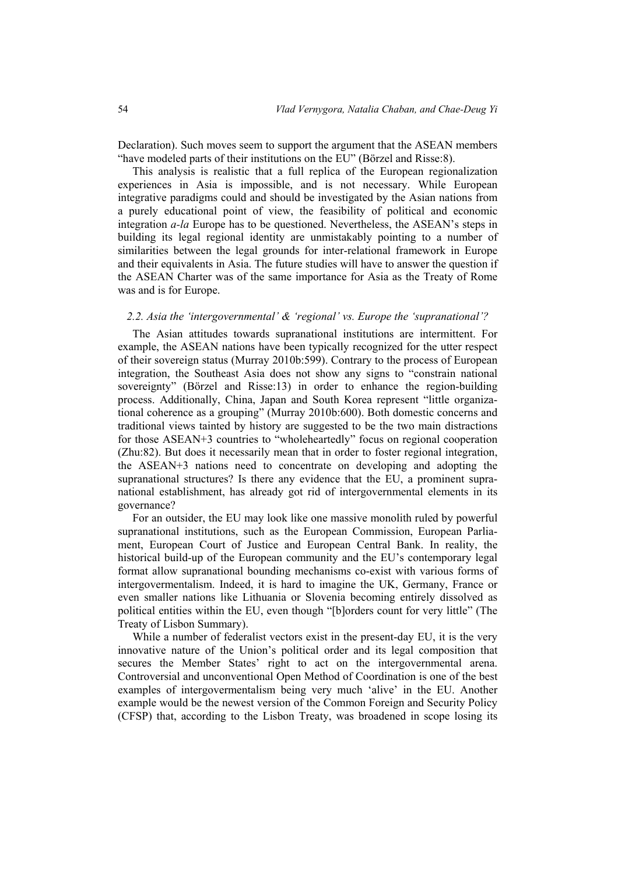Declaration). Such moves seem to support the argument that the ASEAN members "have modeled parts of their institutions on the EU" (Börzel and Risse:8).

This analysis is realistic that a full replica of the European regionalization experiences in Asia is impossible, and is not necessary. While European integrative paradigms could and should be investigated by the Asian nations from a purely educational point of view, the feasibility of political and economic integration *a-la* Europe has to be questioned. Nevertheless, the ASEAN's steps in building its legal regional identity are unmistakably pointing to a number of similarities between the legal grounds for inter-relational framework in Europe and their equivalents in Asia. The future studies will have to answer the question if the ASEAN Charter was of the same importance for Asia as the Treaty of Rome was and is for Europe.

## *2.2. Asia the 'intergovernmental' & 'regional' vs. Europe the 'supranational'?*

The Asian attitudes towards supranational institutions are intermittent. For example, the ASEAN nations have been typically recognized for the utter respect of their sovereign status (Murray 2010b:599). Contrary to the process of European integration, the Southeast Asia does not show any signs to "constrain national sovereignty" (Börzel and Risse:13) in order to enhance the region-building process. Additionally, China, Japan and South Korea represent "little organizational coherence as a grouping" (Murray 2010b:600). Both domestic concerns and traditional views tainted by history are suggested to be the two main distractions for those ASEAN+3 countries to "wholeheartedly" focus on regional cooperation (Zhu:82). But does it necessarily mean that in order to foster regional integration, the ASEAN+3 nations need to concentrate on developing and adopting the supranational structures? Is there any evidence that the EU, a prominent supranational establishment, has already got rid of intergovernmental elements in its governance?

For an outsider, the EU may look like one massive monolith ruled by powerful supranational institutions, such as the European Commission, European Parliament, European Court of Justice and European Central Bank. In reality, the historical build-up of the European community and the EU's contemporary legal format allow supranational bounding mechanisms co-exist with various forms of intergovermentalism. Indeed, it is hard to imagine the UK, Germany, France or even smaller nations like Lithuania or Slovenia becoming entirely dissolved as political entities within the EU, even though "[b]orders count for very little" (The Treaty of Lisbon Summary).

While a number of federalist vectors exist in the present-day EU, it is the very innovative nature of the Union's political order and its legal composition that secures the Member States' right to act on the intergovernmental arena. Controversial and unconventional Open Method of Coordination is one of the best examples of intergovermentalism being very much 'alive' in the EU. Another example would be the newest version of the Common Foreign and Security Policy (CFSP) that, according to the Lisbon Treaty, was broadened in scope losing its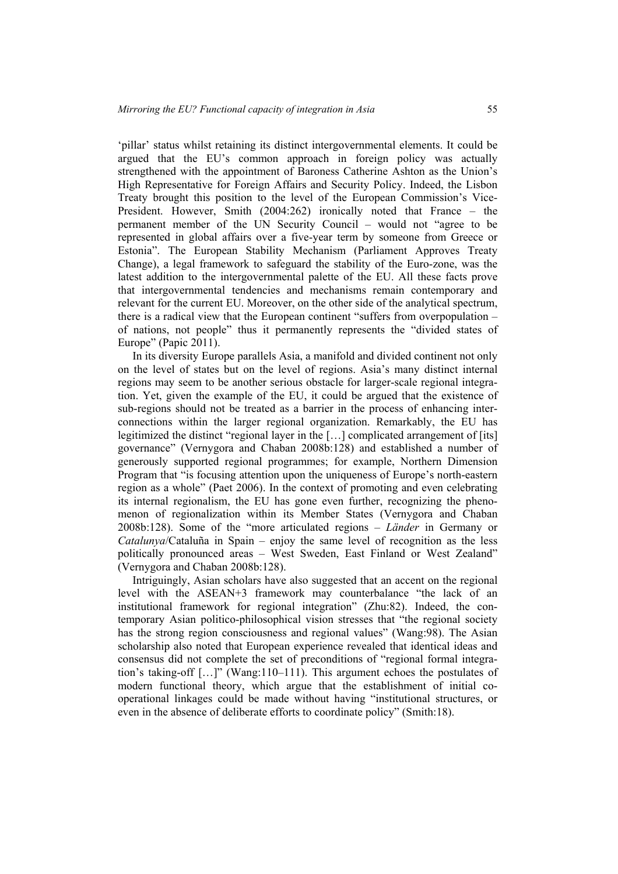'pillar' status whilst retaining its distinct intergovernmental elements. It could be argued that the EU's common approach in foreign policy was actually strengthened with the appointment of Baroness Catherine Ashton as the Union's High Representative for Foreign Affairs and Security Policy. Indeed, the Lisbon Treaty brought this position to the level of the European Commission's Vice-President. However, Smith (2004:262) ironically noted that France – the permanent member of the UN Security Council – would not "agree to be represented in global affairs over a five-year term by someone from Greece or Estonia". The European Stability Mechanism (Parliament Approves Treaty Change), a legal framework to safeguard the stability of the Euro-zone, was the latest addition to the intergovernmental palette of the EU. All these facts prove that intergovernmental tendencies and mechanisms remain contemporary and relevant for the current EU. Moreover, on the other side of the analytical spectrum, there is a radical view that the European continent "suffers from overpopulation – of nations, not people" thus it permanently represents the "divided states of Europe" (Papic 2011).

In its diversity Europe parallels Asia, a manifold and divided continent not only on the level of states but on the level of regions. Asia's many distinct internal regions may seem to be another serious obstacle for larger-scale regional integration. Yet, given the example of the EU, it could be argued that the existence of sub-regions should not be treated as a barrier in the process of enhancing interconnections within the larger regional organization. Remarkably, the EU has legitimized the distinct "regional layer in the [...] complicated arrangement of [its] governance" (Vernygora and Chaban 2008b:128) and established a number of generously supported regional programmes; for example, Northern Dimension Program that "is focusing attention upon the uniqueness of Europe's north-eastern region as a whole" (Paet 2006). In the context of promoting and even celebrating its internal regionalism, the EU has gone even further, recognizing the phenomenon of regionalization within its Member States (Vernygora and Chaban 2008b:128). Some of the "more articulated regions – *Länder* in Germany or *Catalunya*/Cataluña in Spain – enjoy the same level of recognition as the less politically pronounced areas – West Sweden, East Finland or West Zealand" (Vernygora and Chaban 2008b:128).

Intriguingly, Asian scholars have also suggested that an accent on the regional level with the ASEAN+3 framework may counterbalance "the lack of an institutional framework for regional integration" (Zhu:82). Indeed, the contemporary Asian politico-philosophical vision stresses that "the regional society has the strong region consciousness and regional values" (Wang:98). The Asian scholarship also noted that European experience revealed that identical ideas and consensus did not complete the set of preconditions of "regional formal integration's taking-off […]" (Wang:110–111). This argument echoes the postulates of modern functional theory, which argue that the establishment of initial cooperational linkages could be made without having "institutional structures, or even in the absence of deliberate efforts to coordinate policy" (Smith:18).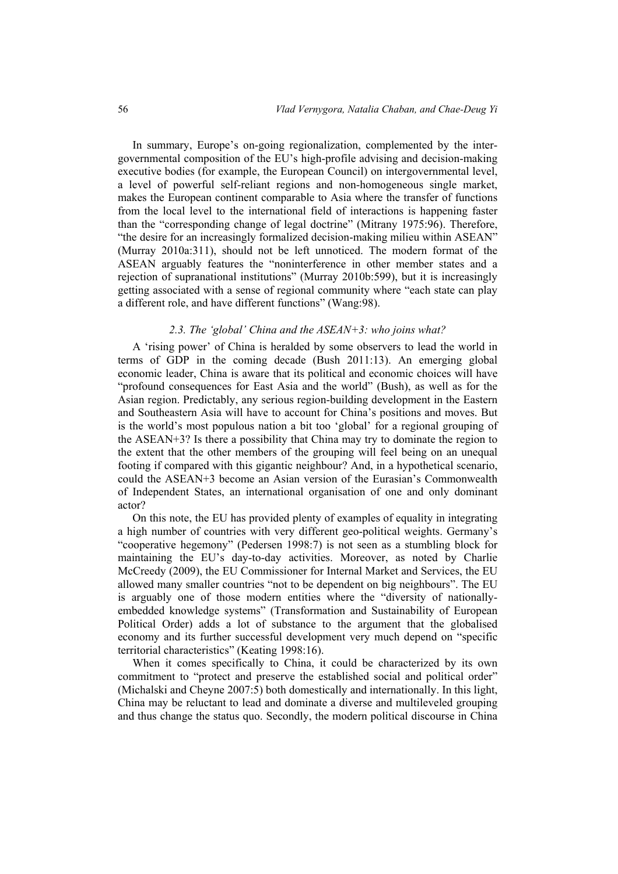In summary, Europe's on-going regionalization, complemented by the intergovernmental composition of the EU's high-profile advising and decision-making executive bodies (for example, the European Council) on intergovernmental level, a level of powerful self-reliant regions and non-homogeneous single market, makes the European continent comparable to Asia where the transfer of functions from the local level to the international field of interactions is happening faster than the "corresponding change of legal doctrine" (Mitrany 1975:96). Therefore, "the desire for an increasingly formalized decision-making milieu within ASEAN" (Murray 2010a:311), should not be left unnoticed. The modern format of the ASEAN arguably features the "noninterference in other member states and a rejection of supranational institutions" (Murray 2010b:599), but it is increasingly getting associated with a sense of regional community where "each state can play a different role, and have different functions" (Wang:98).

## *2.3. The 'global' China and the ASEAN+3: who joins what?*

A 'rising power' of China is heralded by some observers to lead the world in terms of GDP in the coming decade (Bush 2011:13). An emerging global economic leader, China is aware that its political and economic choices will have "profound consequences for East Asia and the world" (Bush), as well as for the Asian region. Predictably, any serious region-building development in the Eastern and Southeastern Asia will have to account for China's positions and moves. But is the world's most populous nation a bit too 'global' for a regional grouping of the ASEAN+3? Is there a possibility that China may try to dominate the region to the extent that the other members of the grouping will feel being on an unequal footing if compared with this gigantic neighbour? And, in a hypothetical scenario, could the ASEAN+3 become an Asian version of the Eurasian's Commonwealth of Independent States, an international organisation of one and only dominant actor?

On this note, the EU has provided plenty of examples of equality in integrating a high number of countries with very different geo-political weights. Germany's "cooperative hegemony" (Pedersen 1998:7) is not seen as a stumbling block for maintaining the EU's day-to-day activities. Moreover, as noted by Charlie McCreedy (2009), the EU Commissioner for Internal Market and Services, the EU allowed many smaller countries "not to be dependent on big neighbours". The EU is arguably one of those modern entities where the "diversity of nationallyembedded knowledge systems" (Transformation and Sustainability of European Political Order) adds a lot of substance to the argument that the globalised economy and its further successful development very much depend on "specific territorial characteristics" (Keating 1998:16).

When it comes specifically to China, it could be characterized by its own commitment to "protect and preserve the established social and political order" (Michalski and Cheyne 2007:5) both domestically and internationally. In this light, China may be reluctant to lead and dominate a diverse and multileveled grouping and thus change the status quo. Secondly, the modern political discourse in China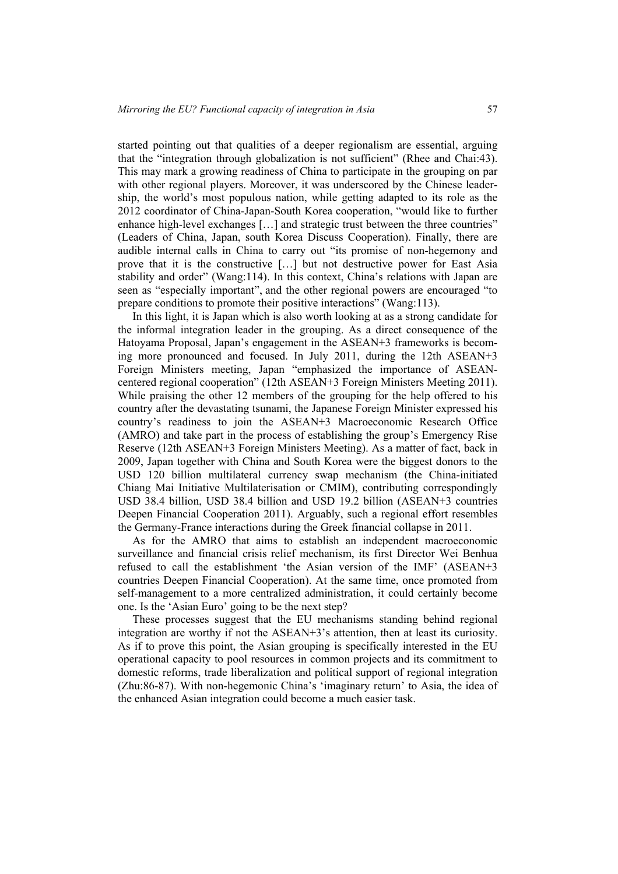started pointing out that qualities of a deeper regionalism are essential, arguing that the "integration through globalization is not sufficient" (Rhee and Chai:43). This may mark a growing readiness of China to participate in the grouping on par with other regional players. Moreover, it was underscored by the Chinese leadership, the world's most populous nation, while getting adapted to its role as the 2012 coordinator of China-Japan-South Korea cooperation, "would like to further enhance high-level exchanges […] and strategic trust between the three countries" (Leaders of China, Japan, south Korea Discuss Cooperation). Finally, there are audible internal calls in China to carry out "its promise of non-hegemony and prove that it is the constructive […] but not destructive power for East Asia stability and order" (Wang:114). In this context, China's relations with Japan are seen as "especially important", and the other regional powers are encouraged "to prepare conditions to promote their positive interactions" (Wang:113).

In this light, it is Japan which is also worth looking at as a strong candidate for the informal integration leader in the grouping. As a direct consequence of the Hatoyama Proposal, Japan's engagement in the ASEAN+3 frameworks is becoming more pronounced and focused. In July 2011, during the 12th ASEAN+3 Foreign Ministers meeting, Japan "emphasized the importance of ASEANcentered regional cooperation" (12th ASEAN+3 Foreign Ministers Meeting 2011). While praising the other 12 members of the grouping for the help offered to his country after the devastating tsunami, the Japanese Foreign Minister expressed his country's readiness to join the ASEAN+3 Macroeconomic Research Office (AMRO) and take part in the process of establishing the group's Emergency Rise Reserve (12th ASEAN+3 Foreign Ministers Meeting). As a matter of fact, back in 2009, Japan together with China and South Korea were the biggest donors to the USD 120 billion multilateral currency swap mechanism (the China-initiated Chiang Mai Initiative Multilaterisation or CMIM), contributing correspondingly USD 38.4 billion, USD 38.4 billion and USD 19.2 billion (ASEAN+3 countries Deepen Financial Cooperation 2011). Arguably, such a regional effort resembles the Germany-France interactions during the Greek financial collapse in 2011.

As for the AMRO that aims to establish an independent macroeconomic surveillance and financial crisis relief mechanism, its first Director Wei Benhua refused to call the establishment 'the Asian version of the IMF' (ASEAN+3 countries Deepen Financial Cooperation). At the same time, once promoted from self-management to a more centralized administration, it could certainly become one. Is the 'Asian Euro' going to be the next step?

These processes suggest that the EU mechanisms standing behind regional integration are worthy if not the ASEAN+3's attention, then at least its curiosity. As if to prove this point, the Asian grouping is specifically interested in the EU operational capacity to pool resources in common projects and its commitment to domestic reforms, trade liberalization and political support of regional integration (Zhu:86-87). With non-hegemonic China's 'imaginary return' to Asia, the idea of the enhanced Asian integration could become a much easier task.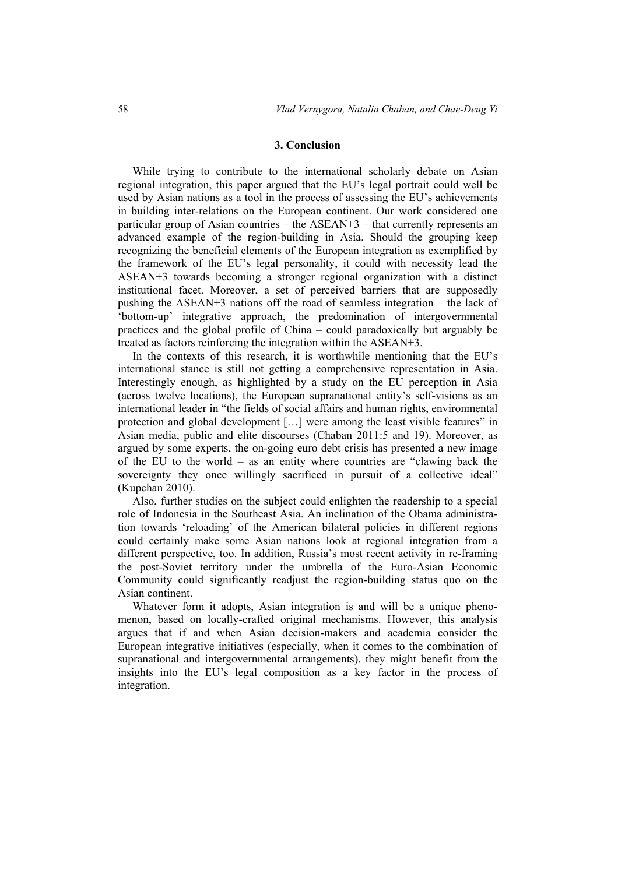#### **3. Conclusion**

While trying to contribute to the international scholarly debate on Asian regional integration, this paper argued that the EU's legal portrait could well be used by Asian nations as a tool in the process of assessing the EU's achievements in building inter-relations on the European continent. Our work considered one particular group of Asian countries – the ASEAN+3 – that currently represents an advanced example of the region-building in Asia. Should the grouping keep recognizing the beneficial elements of the European integration as exemplified by the framework of the EU's legal personality, it could with necessity lead the ASEAN+3 towards becoming a stronger regional organization with a distinct institutional facet. Moreover, a set of perceived barriers that are supposedly pushing the ASEAN+3 nations off the road of seamless integration – the lack of 'bottom-up' integrative approach, the predomination of intergovernmental practices and the global profile of China – could paradoxically but arguably be treated as factors reinforcing the integration within the ASEAN+3.

In the contexts of this research, it is worthwhile mentioning that the EU's international stance is still not getting a comprehensive representation in Asia. Interestingly enough, as highlighted by a study on the EU perception in Asia (across twelve locations), the European supranational entity's self-visions as an international leader in "the fields of social affairs and human rights, environmental protection and global development […] were among the least visible features" in Asian media, public and elite discourses (Chaban 2011:5 and 19). Moreover, as argued by some experts, the on-going euro debt crisis has presented a new image of the EU to the world – as an entity where countries are "clawing back the sovereignty they once willingly sacrificed in pursuit of a collective ideal" (Kupchan 2010).

Also, further studies on the subject could enlighten the readership to a special role of Indonesia in the Southeast Asia. An inclination of the Obama administration towards 'reloading' of the American bilateral policies in different regions could certainly make some Asian nations look at regional integration from a different perspective, too. In addition, Russia's most recent activity in re-framing the post-Soviet territory under the umbrella of the Euro-Asian Economic Community could significantly readjust the region-building status quo on the Asian continent.

Whatever form it adopts, Asian integration is and will be a unique phenomenon, based on locally-crafted original mechanisms. However, this analysis argues that if and when Asian decision-makers and academia consider the European integrative initiatives (especially, when it comes to the combination of supranational and intergovernmental arrangements), they might benefit from the insights into the EU's legal composition as a key factor in the process of integration.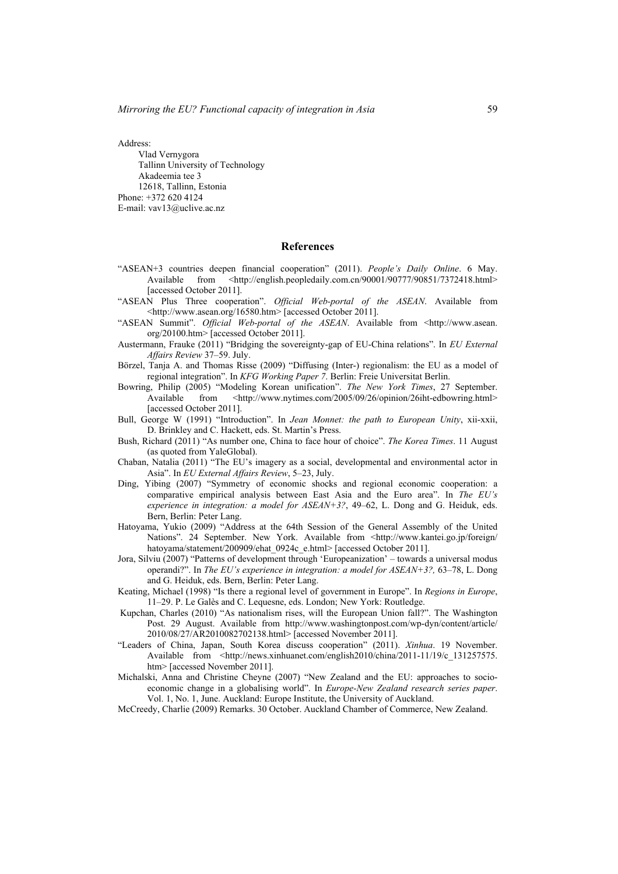Address:

Vlad Vernygora Tallinn University of Technology Akadeemia tee 3 12618, Tallinn, Estonia Phone: +372 620 4124 E-mail: vav13@uclive.ac.nz

#### **References**

- "ASEAN+3 countries deepen financial cooperation" (2011). *People's Daily Online*. 6 May. Available from  $\langle$ http://english.peopledaily.com.cn/90001/90777/90851/7372418.html> [accessed October 2011].
- "ASEAN Plus Three cooperation". *Official Web-portal of the ASEAN*. Available from <http://www.asean.org/16580.htm> [accessed October 2011].
- "ASEAN Summit". *Official Web-portal of the ASEAN*. Available from <http://www.asean. org/20100.htm> [accessed October 2011].
- Austermann, Frauke (2011) "Bridging the sovereignty-gap of EU-China relations". In *EU External Affairs Review* 37–59. July.
- Börzel, Tanja A. and Thomas Risse (2009) "Diffusing (Inter-) regionalism: the EU as a model of regional integration". In *KFG Working Paper 7*. Berlin: Freie Universitat Berlin.
- Bowring, Philip (2005) "Modeling Korean unification". *The New York Times*, 27 September. Available from  $\langle \text{http://www.nytimes.com/2005/09/26/opinion/26iht-edbowring.htm} \rangle$ [accessed October 2011].
- Bull, George W (1991) "Introduction". In *Jean Monnet: the path to European Unity*, xii-xxii, D. Brinkley and C. Hackett, eds. St. Martin's Press.
- Bush, Richard (2011) "As number one, China to face hour of choice". *The Korea Times*. 11 August (as quoted from YaleGlobal).
- Chaban, Natalia (2011) "The EU's imagery as a social, developmental and environmental actor in Asia". In *EU External Affairs Review*, 5–23, July.
- Ding, Yibing (2007) "Symmetry of economic shocks and regional economic cooperation: a comparative empirical analysis between East Asia and the Euro area". In *The EU's experience in integration: a model for ASEAN+3?*, 49–62, L. Dong and G. Heiduk, eds. Bern, Berlin: Peter Lang.
- Hatoyama, Yukio (2009) "Address at the 64th Session of the General Assembly of the United Nations". 24 September. New York. Available from <http://www.kantei.go.jp/foreign/ hatoyama/statement/200909/ehat\_0924c\_e.html> [accessed October 2011].
- Jora, Silviu (2007) "Patterns of development through 'Europeanization' towards a universal modus operandi?". In *The EU's experience in integration: a model for ASEAN+3?,* 63–78, L. Dong and G. Heiduk, eds. Bern, Berlin: Peter Lang.
- Keating, Michael (1998) "Is there a regional level of government in Europe". In *Regions in Europe*, 11–29. P. Le Galès and C. Lequesne, eds. London; New York: Routledge.
- Kupchan, Charles (2010) "As nationalism rises, will the European Union fall?". The Washington Post. 29 August. Available from http://www.washingtonpost.com/wp-dyn/content/article/ 2010/08/27/AR2010082702138.html> [accessed November 2011].
- "Leaders of China, Japan, South Korea discuss cooperation" (2011). *Xinhua*. 19 November. Available from <http://news.xinhuanet.com/english2010/china/2011-11/19/c\_131257575. htm> [accessed November 2011].
- Michalski, Anna and Christine Cheyne (2007) "New Zealand and the EU: approaches to socioeconomic change in a globalising world". In *Europe-New Zealand research series paper*. Vol. 1, No. 1, June. Auckland: Europe Institute, the University of Auckland.

McCreedy, Charlie (2009) Remarks. 30 October. Auckland Chamber of Commerce, New Zealand.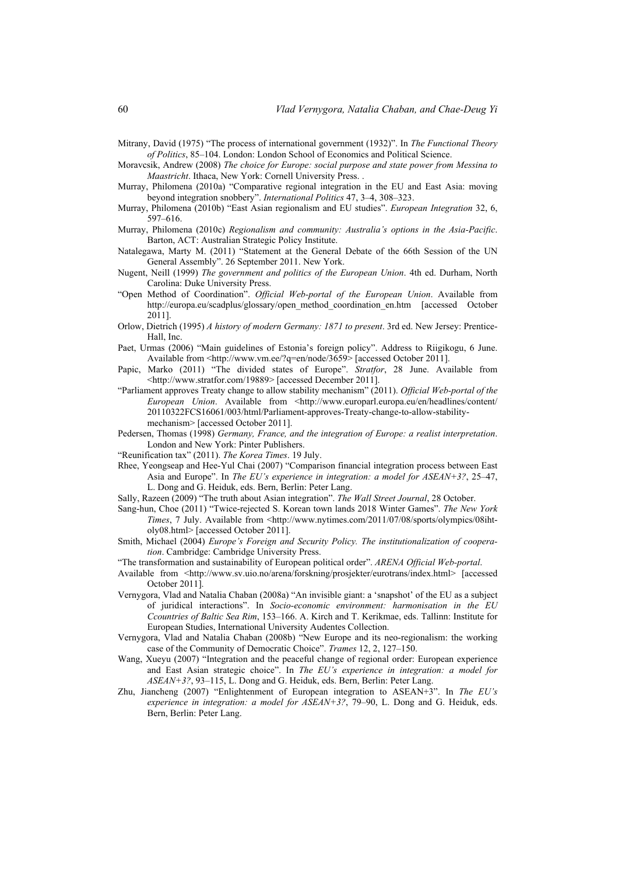Mitrany, David (1975) "The process of international government (1932)". In *The Functional Theory of Politics*, 85–104. London: London School of Economics and Political Science.

- Moravcsik, Andrew (2008) *The choice for Europe: social purpose and state power from Messina to Maastricht*. Ithaca, New York: Cornell University Press. .
- Murray, Philomena (2010a) "Comparative regional integration in the EU and East Asia: moving beyond integration snobbery". *International Politics* 47, 3–4, 308–323.
- Murray, Philomena (2010b) "East Asian regionalism and EU studies". *European Integration* 32, 6, 597–616.
- Murray, Philomena (2010c) *Regionalism and community: Australia's options in the Asia-Pacific*. Barton, ACT: Australian Strategic Policy Institute.
- Natalegawa, Marty M. (2011) "Statement at the General Debate of the 66th Session of the UN General Assembly". 26 September 2011. New York.
- Nugent, Neill (1999) *The government and politics of the European Union*. 4th ed. Durham, North Carolina: Duke University Press.
- "Open Method of Coordination". *Official Web-portal of the European Union*. Available from http://europa.eu/scadplus/glossary/open\_method\_coordination\_en.htm [accessed October 2011].
- Orlow, Dietrich (1995) *A history of modern Germany: 1871 to present*. 3rd ed. New Jersey: Prentice-Hall, Inc.
- Paet, Urmas (2006) "Main guidelines of Estonia's foreign policy". Address to Riigikogu, 6 June. Available from <http://www.vm.ee/?q=en/node/3659> [accessed October 2011].
- Papic, Marko (2011) "The divided states of Europe". *Stratfor*, 28 June. Available from <http://www.stratfor.com/19889> [accessed December 2011].
- "Parliament approves Treaty change to allow stability mechanism" (2011). *Official Web-portal of the European Union*. Available from <http://www.europarl.europa.eu/en/headlines/content/ 20110322FCS16061/003/html/Parliament-approves-Treaty-change-to-allow-stabilitymechanism> [accessed October 2011].
- Pedersen, Thomas (1998) *Germany, France, and the integration of Europe: a realist interpretation*. London and New York: Pinter Publishers.
- "Reunification tax" (2011). *The Korea Times*. 19 July.
- Rhee, Yeongseap and Hee-Yul Chai (2007) "Comparison financial integration process between East Asia and Europe". In *The EU's experience in integration: a model for ASEAN+3?*, 25–47, L. Dong and G. Heiduk, eds. Bern, Berlin: Peter Lang.
- Sally, Razeen (2009) "The truth about Asian integration". *The Wall Street Journal*, 28 October.
- Sang-hun, Choe (2011) "Twice-rejected S. Korean town lands 2018 Winter Games". *The New York Times*, 7 July. Available from <http://www.nytimes.com/2011/07/08/sports/olympics/08ihtoly08.html> [accessed October 2011].
- Smith, Michael (2004) *Europe's Foreign and Security Policy. The institutionalization of cooperation*. Cambridge: Cambridge University Press.
- "The transformation and sustainability of European political order". *ARENA Official Web-portal*.
- Available from <http://www.sv.uio.no/arena/forskning/prosjekter/eurotrans/index.html> [accessed October 2011].
- Vernygora, Vlad and Natalia Chaban (2008a) "An invisible giant: a 'snapshot' of the EU as a subject of juridical interactions". In *Socio-economic environment: harmonisation in the EU Ccountries of Baltic Sea Rim*, 153–166. A. Kirch and T. Kerikmae, eds. Tallinn: Institute for European Studies, International University Audentes Collection.
- Vernygora, Vlad and Natalia Chaban (2008b) "New Europe and its neo-regionalism: the working case of the Community of Democratic Choice". *Trames* 12, 2, 127–150.
- Wang, Xueyu (2007) "Integration and the peaceful change of regional order: European experience and East Asian strategic choice". In *The EU's experience in integration: a model for ASEAN+3?*, 93–115, L. Dong and G. Heiduk, eds. Bern, Berlin: Peter Lang.
- Zhu, Jiancheng (2007) "Enlightenment of European integration to ASEAN+3". In *The EU's experience in integration: a model for ASEAN+3?*, 79–90, L. Dong and G. Heiduk, eds. Bern, Berlin: Peter Lang.